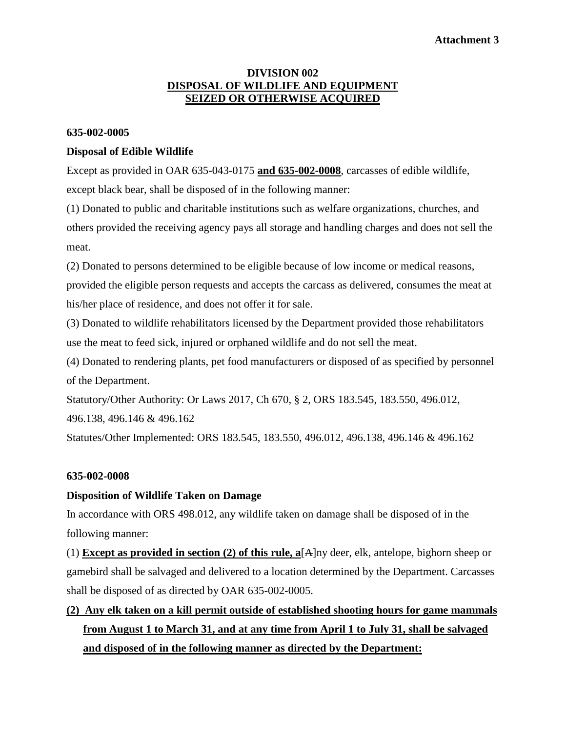## **Attachment 3**

### **DIVISION 002 DISPOSAL OF WILDLIFE AND EQUIPMENT SEIZED OR OTHERWISE ACQUIRED**

#### **635-002-0005**

#### **Disposal of Edible Wildlife**

Except as provided in OAR 635-043-0175 **and 635-002-0008**, carcasses of edible wildlife, except black bear, shall be disposed of in the following manner:

(1) Donated to public and charitable institutions such as welfare organizations, churches, and others provided the receiving agency pays all storage and handling charges and does not sell the meat.

(2) Donated to persons determined to be eligible because of low income or medical reasons, provided the eligible person requests and accepts the carcass as delivered, consumes the meat at his/her place of residence, and does not offer it for sale.

(3) Donated to wildlife rehabilitators licensed by the Department provided those rehabilitators use the meat to feed sick, injured or orphaned wildlife and do not sell the meat.

(4) Donated to rendering plants, pet food manufacturers or disposed of as specified by personnel of the Department.

Statutory/Other Authority: Or Laws 2017, Ch 670, § 2, ORS 183.545, 183.550, 496.012, 496.138, 496.146 & 496.162

Statutes/Other Implemented: ORS 183.545, 183.550, 496.012, 496.138, 496.146 & 496.162

#### **635-002-0008**

#### **Disposition of Wildlife Taken on Damage**

In accordance with ORS 498.012, any wildlife taken on damage shall be disposed of in the following manner:

(1) **Except as provided in section (2) of this rule, a**[A]ny deer, elk, antelope, bighorn sheep or gamebird shall be salvaged and delivered to a location determined by the Department. Carcasses shall be disposed of as directed by OAR 635-002-0005.

# **(2) Any elk taken on a kill permit outside of established shooting hours for game mammals from August 1 to March 31, and at any time from April 1 to July 31, shall be salvaged and disposed of in the following manner as directed by the Department:**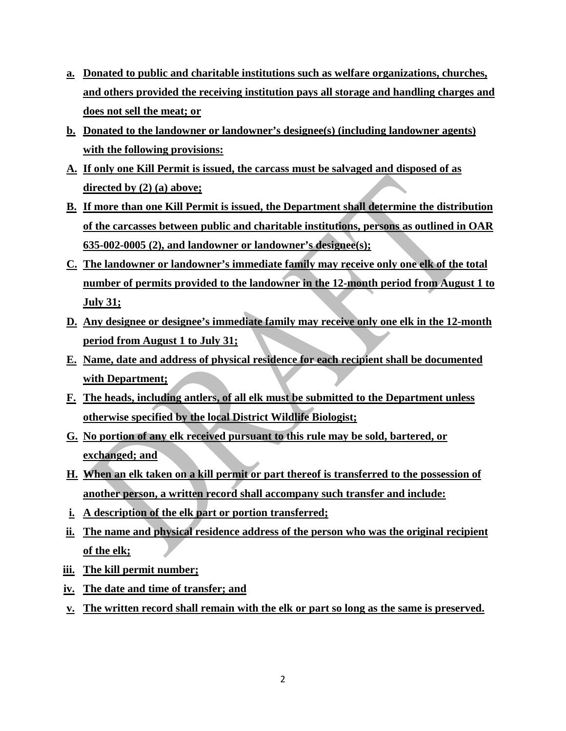- **a. Donated to public and charitable institutions such as welfare organizations, churches, and others provided the receiving institution pays all storage and handling charges and does not sell the meat; or**
- **b. Donated to the landowner or landowner's designee(s) (including landowner agents) with the following provisions:**
- **A. If only one Kill Permit is issued, the carcass must be salvaged and disposed of as directed by (2) (a) above;**
- **B. If more than one Kill Permit is issued, the Department shall determine the distribution of the carcasses between public and charitable institutions, persons as outlined in OAR 635-002-0005 (2), and landowner or landowner's designee(s);**
- **C. The landowner or landowner's immediate family may receive only one elk of the total number of permits provided to the landowner in the 12-month period from August 1 to July 31;**
- **D. Any designee or designee's immediate family may receive only one elk in the 12-month period from August 1 to July 31;**
- **E. Name, date and address of physical residence for each recipient shall be documented with Department;**
- **F. The heads, including antlers, of all elk must be submitted to the Department unless otherwise specified by the local District Wildlife Biologist;**
- **G. No portion of any elk received pursuant to this rule may be sold, bartered, or exchanged; and**
- **H. When an elk taken on a kill permit or part thereof is transferred to the possession of another person, a written record shall accompany such transfer and include:**
- **i. A description of the elk part or portion transferred;**
- **ii. The name and physical residence address of the person who was the original recipient of the elk;**
- **iii. The kill permit number;**
- **iv. The date and time of transfer; and**
- **v. The written record shall remain with the elk or part so long as the same is preserved.**